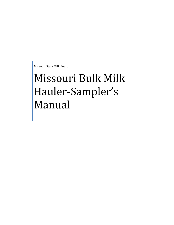Missouri State Milk Board

# Missouri Bulk Milk Hauler-Sampler's Manual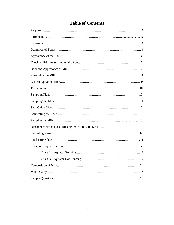# **Table of Contents**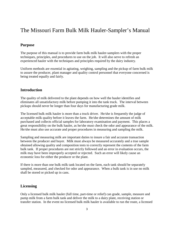# The Missouri Farm Bulk Milk Hauler-Sampler's Manual

#### **Purpose**

The purpose of this manual is to provide farm bulk milk hauler-samplers with the proper techniques, principles, and procedures to use on the job. It will also serve to refresh an experienced hauler with the techniques and principles required by the dairy industry.

Uniform methods are essential in agitating, weighing, sampling and the pickup of farm bulk milk to assure the producer, plant manager and quality control personnel that everyone concerned is being treated equally and fairly.

#### **Introduction**

The quality of milk delivered to the plant depends on how well the hauler identifies and eliminates all unsatisfactory milk before pumping it into the tank truck. The interval between pickups should never be longer than four days for manufacturing grade milk.

The licensed bulk milk hauler is more than a truck driver. He/she is frequently the judge of acceptable milk quality before it leaves the farm. He/she determines the amount of milk purchased and collects official samples for laboratory examination and payment. This places a great responsibility on the bulk hauler, as he/she must check the odor and appearance of the milk. He/she must also use accurate and proper procedures in measuring and sampling the milk.

Sampling and measuring milk are important duties to insure a fair and accurate transaction between the producer and buyer. Milk must always be measured accurately and a true sample obtained allowing quality and composition tests to correctly represent the contents of the farm bulk tank. If proper procedures are not strictly followed and an error in evaluation occurs, the milk may have been improperly accepted or rejected. Such an error will likely cause an economic loss for either the producer or the plant.

If there is more than one bulk milk tank located on the farm, each tank should be separately sampled, measured, and checked for odor and appearance. When a bulk tank is in use no milk shall be stored or picked up in cans.

#### **Licensing**

Only a licensed bulk milk hauler (full time, part-time or relief) can grade, sample, measure and pump milk from a farm bulk tank and deliver the milk to a dairy plant, receiving station or transfer station. In the event no licensed bulk milk hauler is available to run the route, a licensed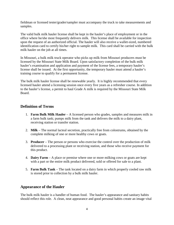fieldman or licensed tester/grader/sampler must accompany the truck to take measurements and samples.

The valid bulk milk hauler license shall be kept in the hauler's place of employment or in the office where he/she most frequently delivers milk. This license shall be available for inspection upon the request of an authorized official. The hauler will also receive a wallet-sized, numbered identification card to certify his/her right to sample milk. This card shall be carried with the bulk milk hauler on the job at all times.

In Missouri, a bulk milk truck operator who picks up milk from Missouri producers must be licensed by the Missouri State Milk Board. Upon satisfactory completion of the bulk milk hauler's examination and application and payment of the license fees, a temporary hauler's license shall be issued. At the first opportunity, the temporary hauler must attend a hauler's training course to qualify for a permanent license.

The bulk milk hauler license shall be renewable yearly. It is highly recommended that every licensed hauler attend a licensing session once every five years as a refresher course. In addition to the hauler's license, a permit to haul Grade A milk is required by the Missouri State Milk Board.

#### **Definition of Terms**

- 1. **Farm Bulk Milk Hauler** A licensed person who grades, samples and measures milk in a farm bulk tank; pumps milk from the tank and delivers the milk to a dairy plant, receiving station or transfer station.
- 2. **Milk** The normal lacteal secretion, practically free from colostrums, obtained by the complete milking of one or more healthy cows or goats.
- 3. **Producer** The person or persons who exercise the control over the production of milk delivered to a processing plant or receiving station, and those who receive payment for this product.
- 4. **Dairy Farm** A place or premise where one or more milking cows or goats are kept with a part or the entire milk product delivered, sold or offered for sale to a plant.
- 5. **Farm Bulk Tank** The tank located on a dairy farm in which properly cooled raw milk is stored prior to collection by a bulk milk hauler.

# **Appearance of the Hauler**

The bulk milk hauler is a handler of human food. The hauler's appearance and sanitary habits should reflect this role. A clean, neat appearance and good personal habits create an image vital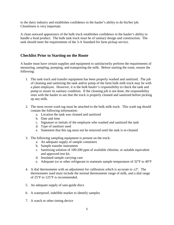to the dairy industry and establishes confidence in the hauler's ability to do his/her job. Cleanliness is very important.

A clean outward appearance of the bulk truck establishes confidence in the hauler's ability to handle a food product. The bulk tank truck must be of sanitary design and construction. The tank should meet the requirements of the 3-A Standard for farm pickup service.

#### **Checklist Prior to Starting on the Route**

A hauler must have certain supplies and equipment to satisfactorily perform the requirements of measuring, sampling, pumping, and transporting the milk. Before starting the route, ensure the following:

- 1. The tank truck and transfer equipment has been properly washed and sanitized. The job of cleaning and sanitizing the tank and/or pump of the farm bulk milk truck may lie with a plant employee. However, it is the *bulk hauler's responsibility* to check the tank and pump to insure its sanitary condition. If the cleaning job is not done, the responsibility rests with the hauler to see that the truck is properly cleaned and sanitized before picking up any milk.
- 2. The most recent wash tag must be attached to the bulk milk truck. This wash tag should contain the following information:
	- a. Location the tank was cleaned and sanitized
	- b. Date and time
	- c. Signature or initials of the employee who washed and sanitized the tank
	- d. Type of sanitizer used
	- e. Statement that this tag must not be removed until the tank is re-cleaned
- 3. The following sampling equipment is present on the truck:
	- a. An adequate supply of sample containers
	- b. Sample transfer instrument
	- c. Sanitizing solution of 100-200 ppm of available chlorine, or suitable equivalent and approved test kit.
	- d. Insulated sample carrying case
	- e. Adequate ice or other refrigerant to maintain sample temperature of 32°F to 40°F
- 4. A dial thermometer with an adjustment for calibration which is accurate to  $\pm 2^{\circ}$ . The thermometer used must include the normal thermometer range of milk, and a dial range of 25°F to 125°F is recommended.
- 5. An adequate supply of sani-guide discs
- 6. A waterproof, indelible marker to identify samples
- 7. A watch or other timing device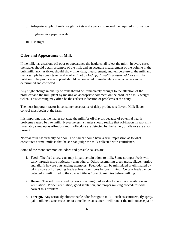- 8. Adequate supply of milk weight tickets and a pencil to record the required information
- 9. Single-service paper towels
- 10. Flashlight

#### **Odor and Appearance of Milk**

If the milk has a serious off-odor or appearance the hauler shall reject the milk. In every case, the hauler should obtain a sample of the milk and an accurate measurement of the volume in the bulk milk tank. A ticket should show time, date, measurement, and temperature of the milk and that a sample has been taken and marked "*not picked up,*" "*quality questioned,"* or a similar notation. The producer and plant should be contacted immediately so that a cause can be determined and corrected.

Any slight change in quality of milk should be immediately brought to the attention of the producer and the milk plant by making an appropriate comment on the producer's milk weight ticket. This warning may often be the earliest indication of problems at the dairy.

The most important factor in consumer acceptance of dairy products is flavor. Milk flavor control must begin at the farm.

It is important that the hauler not taste the milk for off-flavors because of potential health problems caused by raw milk. Nevertheless, a hauler should realize that off-flavors in raw milk invariably show up as off-odors and if off-odors are detected by the hauler, off-flavors are also present.

Normal milk has virtually no odor. The hauler should have a firm impression as to what constitutes normal milk so that he/she can judge the milk collected with confidence.

Some of the more common off-odors and possible causes are:

- 1. **Feed.** The feed a cow eats may impart certain odors to milk. Some stronger feeds will carry through more noticeably than others. Odors resembling green grass, silage, turnips and alfalfa hay are outstanding examples. Feed odor can be minimized or eliminated by taking cows off offending feeds at least four hours before milking. Certain feeds can be detected in milk if fed to the cow as little as 15 to 30 minutes before milking.
- 2. **Barny.** This odor is caused by cows breathing foul air due to poor barn sanitation and ventilation. Proper ventilation, good sanitation, and proper milking procedures will correct this problem.
- 3. **Foreign.** Any seriously objectionable odor foreign to milk such as sanitizers, fly spray, paint, oil, kerosene, creosote, or a medicine substance – will render the milk unacceptable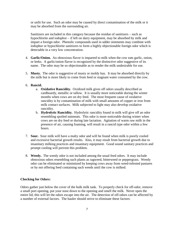or unfit for use. Such an odor may be caused by direct contamination of the milk or it may be absorbed from the surrounding air.

Sanitizers are included in this category because the residue of sanitizers – such as hypochlorite and iodophor – if left on dairy equipment, may be absorbed by milk and impart a foreign odor. Phenolic compounds used in udder ointments may combine with iodophor or hypochlorite sanitizers to form a highly objectionable foreign odor which is detectable in a very low concentration.

- 4. **Garlic/Onion.** An obnoxious flavor is imparted to milk when the cow eats garlic, onion, or leeks. A garlic/onion flavor is recognized by the distinctive odor suggestive of its name. The odor may be so objectionable as to render the milk undesirable for use.
- 5. **Musty.** The odor is suggestive of musty or moldy hay. It may be absorbed directly by the milk but is more likely to come from feed or stagnant water consumed by the cow.

#### 6. **Rancid.**

- a. **Oxidative Rancidity.** Oxidized milk gives off odors usually described as cardboardy, metallic or tallow. It is usually more noticeable during the winter months when cows are on dry feed. The most frequent cause of oxidative rancidity is by contamination of milk with small amounts of copper or iron from milk contact surfaces. Milk subjected to light may also develop oxidative rancidity.
- b. **Hydrolytic Rancidity.** Hydrolytic rancidity found in milk will give off an odor resembling spoiled nutmeats. This odor is more noticeable during winter when cows are on dry feed or during late lactation. Agitation of warm raw milk in the presence of air, causing foaming, will result in a rancid type odor within a few hours.
- 7. **Sour.** Sour milk will have a malty odor and will be found when milk is poorly cooled and excessive bacterial growth results. Also, it may result from bacterial growth due to insanitary milking practices and insanitary equipment. Good sound sanitary practices and prompt cooling will prevent this problem.
- 8. **Weedy.** The weedy odor is not included among the usual feed odors. It may include obnoxious odors resembling such plants as ragweed, bitterweed or peppergrass. Weedy odor can be eliminated or minimized by keeping cows away from weed-infested pastures or by not offering feed containing such weeds until the cow is milked.

#### **Checking for Odors:**

Odors gather just below the cover of the bulk milk tank. To properly check for off-odor, remove a small port opening, put your nose down to the opening and smell the milk. Never open the entire lid; this will let the odors escape into the air. The detection of off-odors can be affected by a number of external factors. The hauler should strive to eliminate these factors: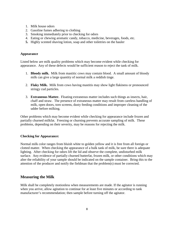- 1. Milk house odors
- 2. Gasoline fumes adhering to clothing
- 3. Smoking immediately prior to checking for odors
- 4. Eating or chewing aromatic candy, tobacco, medicine, beverages, foods, etc.
- **5.** Highly scented shaving lotion, soap and other toiletries on the hauler

#### **Appearance**

Listed below are milk quality problems which may become evident while checking for appearance. Any of these defects would be sufficient reason to reject the tank of milk.

- 1. **Bloody milk.** Milk from mastitic cows may contain blood. A small amount of bloody milk can give a large quantity of normal milk a reddish tinge.
- 2. **Flaky Milk.** Milk from cows having mastitis may show light flakiness or pronounced stringy cud particles.
- 3. **Extraneous Matter.** Floating extraneous matter includes such things as insects, hair, chaff and straw. The presence of extraneous matter may result from careless handling of milk, open doors, torn screens, dusty feeding conditions and improper cleaning of the udder before milking.

Other problems which may become evident while checking for appearance include frozen and partially churned milkfat. Freezing or churning prevents accurate sampling of milk. These problems, depending on their severity, may be reasons for rejecting the milk.

#### **Checking for Appearance:**

Normal milk color ranges from bluish white to golden yellow and it is free from all foreign or clotted matter. When checking the appearance of a bulk tank of milk, be sure there is adequate lighting. After checking for odors lift the lid and observe the complete, undisturbed milk surface. Any evidence of partially churned butterfat, frozen milk, or other conditions which may alter the reliability of your sample should be indicated on the sample container. Bring this to the attention of the producer and notify the fieldman that the problem(s) must be corrected.

#### **Measuring the Milk**

Milk shall be completely motionless when measurements are made. If the agitator is running when you arrive, allow agitation to continue for at least five minutes or according to tank manufacturer's recommendation; then sample before turning off the agitator.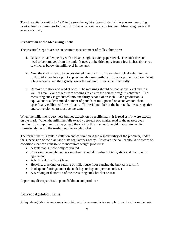Turn the agitator switch to "off" to be sure the agitator doesn't start while you are measuring. Wait at least two minutes for the milk to become completely motionless. Measuring twice will ensure accuracy.

#### **Preparation of the Measuring Stick:**

The essential steps to assure an accurate measurement of milk volume are:

- 1. Raise stick and wipe dry with a clean, single-service paper towel. The stick does not need to be removed from the tank. It needs to be dried only from a few inches above to a few inches below the milk level in the tank.
- 2. Now the stick is ready to be positioned into the milk. Lower the stick slowly into the milk until it reaches a point approximately one-fourth inch from its proper position. Wait a few seconds, and then gently lower the rod until it seats itself naturally.
- 3. Remove the stick and read at once. The markings should be read at eye level and in a well lit area. Make at least two readings to ensure the correct weight is obtained. The measuring stick is graduated into one thirty-second of an inch. Each graduation is equivalent to a determined number of pounds of milk posted on a conversion chart specifically calibrated for each tank. The serial number of the bulk tank, measuring stick and conversion chart must be the same.

When the milk line is very near but not exactly on a specific mark, it is read as if it were exactly on the mark. When the milk line falls exactly between two marks, read to the nearest even number. It is important to always read the stick in this manner to avoid inaccurate results. Immediately record the reading on the weight ticket.

The farm bulk milk tank installation and calibration is the responsibility of the producer, under the supervision of the plant and state regulatory agency. However, the hauler should be aware of conditions that can contribute to inaccurate weight problems:

- A tank that is incorrectly calibrated
- Errors in the weight conversion chart, or serial numbers of tank, stick and chart not in agreement
- A bulk tank that is not level
- Heaving, cracking, or settling of milk house floor causing the bulk tank to shift
- Inadequate footings under the tank legs or legs not permanently set
- A weaving or distortion of the measuring stick bracket or seat

Report any discrepancies to plant fieldman and producer.

# **Correct Agitation Time**

Adequate agitation is necessary to obtain a truly representative sample from the milk in the tank.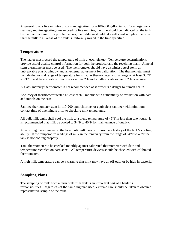A general rule is five minutes of constant agitation for a 100-900 gallon tank. For a larger tank that may require agitating time exceeding five minutes, the time should be indicated on the tank by the manufacturer. If a problem arises, the fieldman should take sufficient samples to ensure that the milk in all areas of the tank is uniformly mixed in the time specified.

# **Temperature**

The hauler must record the temperature of milk at each pickup. Temperature determinations provide useful quality control information for both the producer and the receiving plant. A metal stem thermometer must be used. The thermometer should have a stainless steel stem, an unbreakable plastic window and an external adjustment for calibration. The thermometer must include the normal range of temperature for milk. A thermometer with a range of at least 30 °F to 212°F and be accurate within plus or minus 2ºF and smallest scale range of 2ºF is required.

A glass, mercury thermometer is not recommended as it presents a danger to human health.

Accuracy of thermometer tested at least each 6 months with authenticity of evaluation with date and initials on the case.

Sanitize thermometer stem in 110-200 ppm chlorine, or equivalent sanitizer with minimum contact time of one minute prior to checking milk temperature.

All bulk milk tanks shall cool the milk to a blend temperature of 45°F in less than two hours. It is recommended that milk be cooled to 34°F to 40°F for maintenance of quality.

A recording thermometer on the farm bulk milk tank will provide a history of the tank's cooling ability. If the temperature readings of milk in the tank vary from the range of 34°F to 40°F the tank is not cooling properly.

Tank thermometer to be checked monthly against calibrated thermometer with date and temperature recorded on barn sheet. All temperature devices should be checked with calibrated thermometer.

A high milk temperature can be a warning that milk may have an off-odor or be high in bacteria.

# **Sampling Plans**

The sampling of milk from a farm bulk milk tank is an important part of a hauler's responsibilities. Regardless of the sampling plan used, extreme care should be taken to obtain a representative sample of the milk.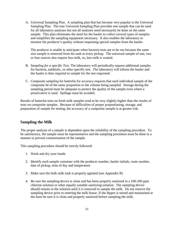A. Universal Sampling Plan. A sampling plan that has become very popular is the Universal Sampling Plan. The true Universal Sampling Plan provides one sample that can be used for all laboratory analyses but not all analyses need necessarily be done on the same sample. This plan eliminates the need for the hauler to collect several types of samples and simplifies the sampling equipment necessary. It also enables the laboratory to monitor the producer's quality without requesting special samples from the hauler.

The producer is unable to anticipate when bacteria tests are to be run because the same size sample is removed from his tank at every pickup. The universal sample of one, two or four ounces also require less milk, so, less milk is wasted.

- B. *Sampling for a specific Test.* The laboratory will periodically request additional samples for bacteria, antibiotic, or other specific test. The laboratory will inform the hauler and the hauler is then required to sample for the test requested.
- C. *Composite sampling* for butterfat for accuracy requires that each individual sample of the composite be of the same proportion to the volume being sampled. Storage during the sampling period must be adequate to protect the quality of the sample even where a preservative is used. Spillage must be avoided.

Results of butterfat tests on fresh milk samples tend to be very slightly higher than the results of tests on composite samples. Because of difficulties of proper proportioning, storage, and preparation of sample for testing, the accuracy of a composite sample is at greater risk.

#### **Sampling the Milk**

The proper analysis of a sample is dependent upon the reliability of the sampling procedure. To be satisfactory, the sample must be representative and the sampling procedure must be done in a manner to prevent contamination of the sample.

This sampling procedure should be strictly followed:

- 1. Wash and dry your hands
- 2. Identify each sample container with the producer number, hauler initials, route number, date of pickup, time of day and temperature
- 3. Make sure the bulk milk tank is properly agitated (see Appendix B)
- 4. Be sure the sampling device is clean and has been properly sanitized in a 100-200 ppm chlorine solution or other equally suitable sanitizing solution. The sampling device should remain in the solution until it is removed to sample the milk. Do not remove the sampling device prior to entering the milk house. If the dipper is stored and maintained at the farm be sure it is clean and properly sanitized before sampling the milk.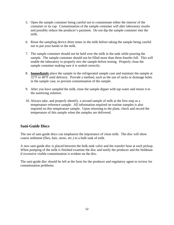- 5. Open the sample container being careful not to contaminate either the interior of the container or its cap. Contamination of the sample container will alter laboratory results and possibly reduce the producer's payment. Do not dip the sample container into the milk.
- 6. Rinse the sampling device three times in the milk before taking the sample being careful not to put your hands in the milk.
- 7. The sample container should not be held over the milk in the tank while pouring the sample. The sample container should not be filled more than three-fourths full. This will enable the laboratory to properly mix the sample before testing. Properly close the sample container making sure it is sealed correctly.
- 8. **Immediately** place the sample in the refrigerated sample case and maintain the sample at 32°F to 40°F until delivery. Provide a method, such as the use of racks or drainage holes in the sample case, to prevent contamination of the sample.
- 9. After you have sampled the milk, rinse the sample dipper with tap water and return it to the sanitizing solution.
- 10. Always take, and properly identify, a second sample of milk at the first stop as a temperature reference sample. All information required on routine samples is also required on this temperature sample. Upon returning to the plant, check and record the temperature of this sample when the samples are delivered.

# **Sani-Guide Discs**

The use of sani-guide discs can emphasize the importance of clean milk. The disc will show coarse sediment (flies, hair, straw, etc.) in a bulk tank of milk.

A new sani-guide disc is placed between the bulk tank valve and the transfer hose at each pickup. When pumping of the milk is finished examine the disc and notify the producer and the fieldman if excessive visible contamination is evident on the disc.

The sani-guide disc should be left at the farm for the producer and regulatory agent to review for contamination problems.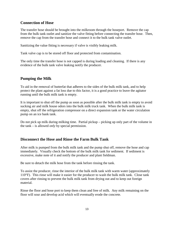#### **Connection of Hose**

The transfer hose should be brought into the milkroom through the hoseport. Remove the cap from the bulk tank outlet and sanitize the valve fitting before connecting the transfer hose. Then, remove the cap from the transfer hose and connect it to the bulk tank valve outlet.

Sanitizing the value fitting is necessary if valve is visibly leaking milk.

Tank valve cap is to be stored off floor and protected from contamination.

The only time the transfer hose is not capped is during loading and cleaning. If there is any evidence of the bulk tank valve leaking notify the producer.

# **Pumping the Milk**

To aid in the removal of butterfat that adheres to the sides of the bulk milk tank, and to help protect the plant against a fat loss due to this factor, it is a good practice to leave the agitator running until the bulk milk tank is empty.

It is important to shut off the pump as soon as possible after the bulk milk tank is empty to avoid sucking air and milk house odors into the bulk milk truck tank. When the bulk milk tank is empty, shut off the refrigeration compressor on a direct expansion tank or the water circulation pump on an ice bank tank.

Do not pick up milk during milking time. Partial pickup – picking up only part of the volume in the tank – is allowed *only* by special permission.

# **Disconnect the Hose and Rinse the Farm Bulk Tank**

After milk is pumped from the bulk milk tank and the pump shut off, remove the hose and cap immediately. Visually check the bottom of the bulk milk tank for sediment. If sediment is excessive, make note of it and notify the producer and plant fieldman.

Be sure to detach the milk hose from the tank before rinsing the tank.

To assist the producer, rinse the interior of the bulk milk tank with warm water (approximately 110°F). This rinse will make it easier for the producer to wash the bulk milk tank. Close tank covers after rinsing to prevent the bulk milk tank from drying out and to keep out foreign material.

Rinse the floor and hose port to keep them clean and free of milk. Any milk remaining on the floor will sour and develop acid which will eventually erode the concrete.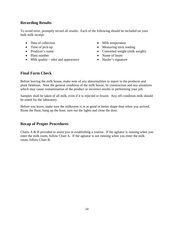# **Recording Results**

To avoid error, promptly record all results. Each of the following should be included on your bulk milk receipt:

- Date of collection
- Time of pick-up
- Producer's name
- Plant number
- Milk quality odor and appearance
- Milk temperature
- Measuring stick reading
- Converted weight (milk weight)
- Name of buyer
- Hauler's signature

# **Final Farm Check**

Before leaving the milk house, make note of any abnormalities to report to the producer and plant fieldman. Note the general condition of the milk house, its construction and any situations which may cause contamination of the product or incorrect results in performing your job.

Samples shall be taken of all milk, even if it is rejected or frozen. Any off-condition milk should be noted for the laboratory.

Before you leave, make sure the milkroom is in as good or better shape than when you arrived. Rinse the floor, hang up the hose, turn out the lights and close the door.

# **Recap of Proper Procedures**

Charts A & B provided to assist you in establishing a routine. If the agitator is running when you enter the milk room, follow Chart A. If the agitator is not running when you enter the milk room, follow Chart B.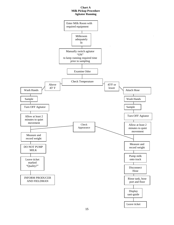#### **Chart A Milk Pickup Procedure Agitator Running**

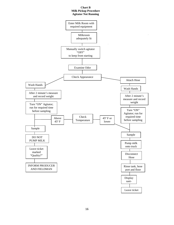#### **Chart B Milk Pickup Procedure Agitator Not Running**

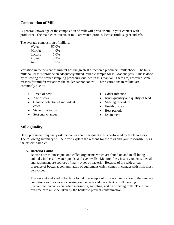# **Composition of Milk**

A general knowledge of the composition of milk will prove useful in your contact with producers. The main constituents of milk are water, protein, lactose (milk sugar) and ash.

The average composition of milk is:

| Water   | 87.0%   |
|---------|---------|
| Milkfat | 4.0%    |
| Lactose | 5.0%    |
| Protein | 3.3%    |
| Ash     | $0.7\%$ |

Variation in the percent of milkfat has the greatest effect on a producers' milk check. The bulk milk hauler must provide an adequately mixed, reliable sample for milkfat analysis. This is done by following the proper sampling procedure outlined in this manual. There are, however, some reasons for milkfat variations the hauler cannot control. These variations in milkfat are commonly due to:

- Breed of cow
- Age of cow
- Genetic potential of individual cows
- Stage of lactation
- Seasonal changes
- Udder infection
- Kind, quantity and quality of feed
- Milking procedure
- Health of cow
- Heat periods
- Excitement

# **Milk Quality**

Dairy producers frequently ask the hauler about the quality tests performed by the laboratory. The following summary will help you explain the reasons for the tests and your responsibility as the official sampler.

#### A. **Bacteria Count**

Bacteria are microscopic, one-celled organisms which are found on and in all living animals, in the soil, water, ponds, and even wells. Manure, flies, insects, rodents, utensils and equipment are sources of many types of bacteria. Because of the widespread presence of bacteria, contamination of equipment which comes in contact with milk must be avoided.

The amount and kind of bacteria found in a sample of milk is an indication of the sanitary conditions and practices occurring on the farm and the extent of milk cooling. Contamination can occur when measuring, sampling, and transferring milk. Therefore, extreme care must be taken by the hauler to prevent contamination.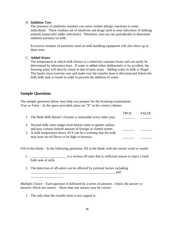#### B. **Inhibitor Test**

The presence of antibiotic residues can cause violent allergic reactions in some individuals. These residues are of medicine and drugs used to treat infections of milking animals (especially udder infections). Therefore, tests are run periodically to determine inhibitor presence in milk.

Excessive residues of sanitizers used on milk handling equipment will also show up in these tests.

#### C. **Added Water**

The temperature at which milk freezes is a relatively constant factor and can easily be determined by laboratory tests. If water is added either deliberately or by accident, the freezing point will then be closer to that of pure water. Adding water to milk is illegal. The hauler must exercise care and make sure the transfer hose is disconnected before the bulk milk tank is rinsed in order to prevent the addition of water.

#### **Sample Questions**

The sample questions below may help you prepare for the licensing examination. *True or False* – In the space provided, place an "X" in the correct column:

|                                                                              | TRUE | <b>FALSE</b> |
|------------------------------------------------------------------------------|------|--------------|
| 1. The Bulk Milk Hauler's license is renewable every other year.             |      |              |
|                                                                              |      |              |
| 2. Normal milk color ranges from bluish white to golden yellow               |      |              |
| and may contain limited amount of foreign or clotted matter.                 |      |              |
| 3. A milk temperature above $45\textdegree$ F can be a warning that the milk |      |              |
| may have an off flavor or be high in bacteria.                               |      |              |

*Fill-in-the-blank* – In the following questions, fill in the blank with the correct word or words:

- 1.  $\frac{1}{1}$  is a serious off-odor that is sufficient reason to reject a farm bulk tank of milk.
- 2. The detection of off-odors can be affected by external factors including  $\ldots$ ,  $\ldots$ , and \_\_\_\_\_\_\_\_\_\_\_\_\_\_\_\_\_\_\_.

*Multiple Choice* – Each question is followed by a series of answers. Check the answer or answers which are correct. More than one answer may be correct.

1. The only time the transfer hose is not capped is: